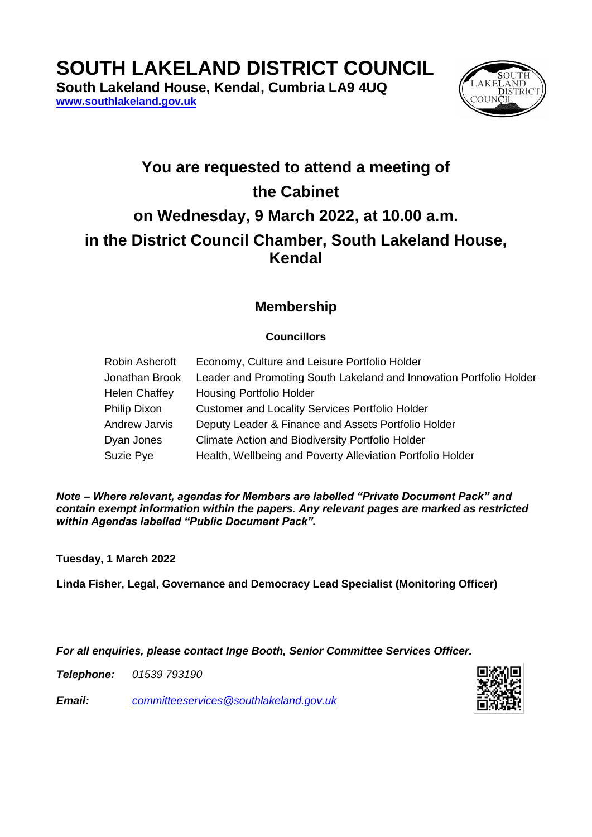**SOUTH LAKELAND DISTRICT COUNCIL**

**South Lakeland House, Kendal, Cumbria LA9 4UQ [www.southlakeland.gov.uk](http://www.southlakeland.gov.uk/)**



## **You are requested to attend a meeting of the Cabinet on Wednesday, 9 March 2022, at 10.00 a.m. in the District Council Chamber, South Lakeland House, Kendal**

## **Membership**

## **Councillors**

| Robin Ashcroft       | Economy, Culture and Leisure Portfolio Holder                       |
|----------------------|---------------------------------------------------------------------|
| Jonathan Brook       | Leader and Promoting South Lakeland and Innovation Portfolio Holder |
| <b>Helen Chaffey</b> | <b>Housing Portfolio Holder</b>                                     |
| Philip Dixon         | <b>Customer and Locality Services Portfolio Holder</b>              |
| Andrew Jarvis        | Deputy Leader & Finance and Assets Portfolio Holder                 |
| Dyan Jones           | <b>Climate Action and Biodiversity Portfolio Holder</b>             |
| Suzie Pye            | Health, Wellbeing and Poverty Alleviation Portfolio Holder          |

*Note – Where relevant, agendas for Members are labelled "Private Document Pack" and contain exempt information within the papers. Any relevant pages are marked as restricted within Agendas labelled "Public Document Pack".*

**Tuesday, 1 March 2022**

**Linda Fisher, Legal, Governance and Democracy Lead Specialist (Monitoring Officer)**

*For all enquiries, please contact Inge Booth, Senior Committee Services Officer.*

*Telephone: 01539 793190*

*Email: committeeservices@southlakeland.gov.uk*

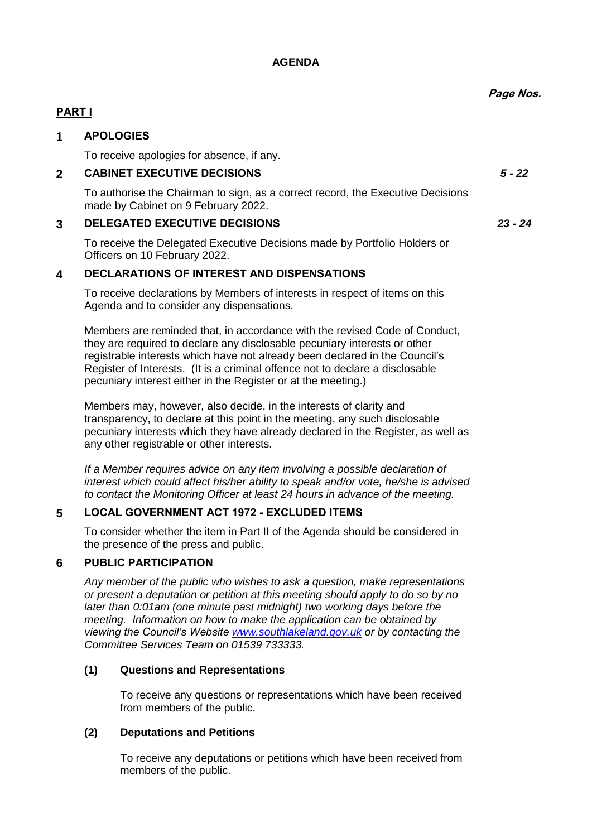## **AGENDA**

|               |                                                                                                                                                                                                                                                                                                                                                                                                                                                  |                                                                                                                                                                                                                                                                                                                                                                                          | Page Nos. |
|---------------|--------------------------------------------------------------------------------------------------------------------------------------------------------------------------------------------------------------------------------------------------------------------------------------------------------------------------------------------------------------------------------------------------------------------------------------------------|------------------------------------------------------------------------------------------------------------------------------------------------------------------------------------------------------------------------------------------------------------------------------------------------------------------------------------------------------------------------------------------|-----------|
| <b>PART I</b> |                                                                                                                                                                                                                                                                                                                                                                                                                                                  |                                                                                                                                                                                                                                                                                                                                                                                          |           |
| 1             |                                                                                                                                                                                                                                                                                                                                                                                                                                                  | <b>APOLOGIES</b>                                                                                                                                                                                                                                                                                                                                                                         |           |
|               |                                                                                                                                                                                                                                                                                                                                                                                                                                                  | To receive apologies for absence, if any.                                                                                                                                                                                                                                                                                                                                                |           |
| $\mathbf{2}$  |                                                                                                                                                                                                                                                                                                                                                                                                                                                  | <b>CABINET EXECUTIVE DECISIONS</b>                                                                                                                                                                                                                                                                                                                                                       | $5 - 22$  |
|               |                                                                                                                                                                                                                                                                                                                                                                                                                                                  | To authorise the Chairman to sign, as a correct record, the Executive Decisions<br>made by Cabinet on 9 February 2022.                                                                                                                                                                                                                                                                   |           |
| 3             |                                                                                                                                                                                                                                                                                                                                                                                                                                                  | <b>DELEGATED EXECUTIVE DECISIONS</b>                                                                                                                                                                                                                                                                                                                                                     | $23 - 24$ |
|               |                                                                                                                                                                                                                                                                                                                                                                                                                                                  | To receive the Delegated Executive Decisions made by Portfolio Holders or<br>Officers on 10 February 2022.                                                                                                                                                                                                                                                                               |           |
| 4             |                                                                                                                                                                                                                                                                                                                                                                                                                                                  | <b>DECLARATIONS OF INTEREST AND DISPENSATIONS</b>                                                                                                                                                                                                                                                                                                                                        |           |
|               |                                                                                                                                                                                                                                                                                                                                                                                                                                                  | To receive declarations by Members of interests in respect of items on this<br>Agenda and to consider any dispensations.                                                                                                                                                                                                                                                                 |           |
|               |                                                                                                                                                                                                                                                                                                                                                                                                                                                  | Members are reminded that, in accordance with the revised Code of Conduct,<br>they are required to declare any disclosable pecuniary interests or other<br>registrable interests which have not already been declared in the Council's<br>Register of Interests. (It is a criminal offence not to declare a disclosable<br>pecuniary interest either in the Register or at the meeting.) |           |
|               |                                                                                                                                                                                                                                                                                                                                                                                                                                                  | Members may, however, also decide, in the interests of clarity and<br>transparency, to declare at this point in the meeting, any such disclosable<br>pecuniary interests which they have already declared in the Register, as well as<br>any other registrable or other interests.                                                                                                       |           |
|               |                                                                                                                                                                                                                                                                                                                                                                                                                                                  | If a Member requires advice on any item involving a possible declaration of<br>interest which could affect his/her ability to speak and/or vote, he/she is advised<br>to contact the Monitoring Officer at least 24 hours in advance of the meeting.                                                                                                                                     |           |
| 5             | <b>LOCAL GOVERNMENT ACT 1972 - EXCLUDED ITEMS</b>                                                                                                                                                                                                                                                                                                                                                                                                |                                                                                                                                                                                                                                                                                                                                                                                          |           |
|               |                                                                                                                                                                                                                                                                                                                                                                                                                                                  | To consider whether the item in Part II of the Agenda should be considered in<br>the presence of the press and public.                                                                                                                                                                                                                                                                   |           |
| 6             |                                                                                                                                                                                                                                                                                                                                                                                                                                                  | <b>PUBLIC PARTICIPATION</b>                                                                                                                                                                                                                                                                                                                                                              |           |
|               | Any member of the public who wishes to ask a question, make representations<br>or present a deputation or petition at this meeting should apply to do so by no<br>later than 0:01 am (one minute past midnight) two working days before the<br>meeting. Information on how to make the application can be obtained by<br>viewing the Council's Website www.southlakeland.gov.uk or by contacting the<br>Committee Services Team on 01539 733333. |                                                                                                                                                                                                                                                                                                                                                                                          |           |
|               | (1)                                                                                                                                                                                                                                                                                                                                                                                                                                              | <b>Questions and Representations</b>                                                                                                                                                                                                                                                                                                                                                     |           |
|               |                                                                                                                                                                                                                                                                                                                                                                                                                                                  | To receive any questions or representations which have been received<br>from members of the public.                                                                                                                                                                                                                                                                                      |           |
|               | (2)                                                                                                                                                                                                                                                                                                                                                                                                                                              | <b>Deputations and Petitions</b>                                                                                                                                                                                                                                                                                                                                                         |           |
|               |                                                                                                                                                                                                                                                                                                                                                                                                                                                  | To receive any deputations or petitions which have been received from<br>members of the public.                                                                                                                                                                                                                                                                                          |           |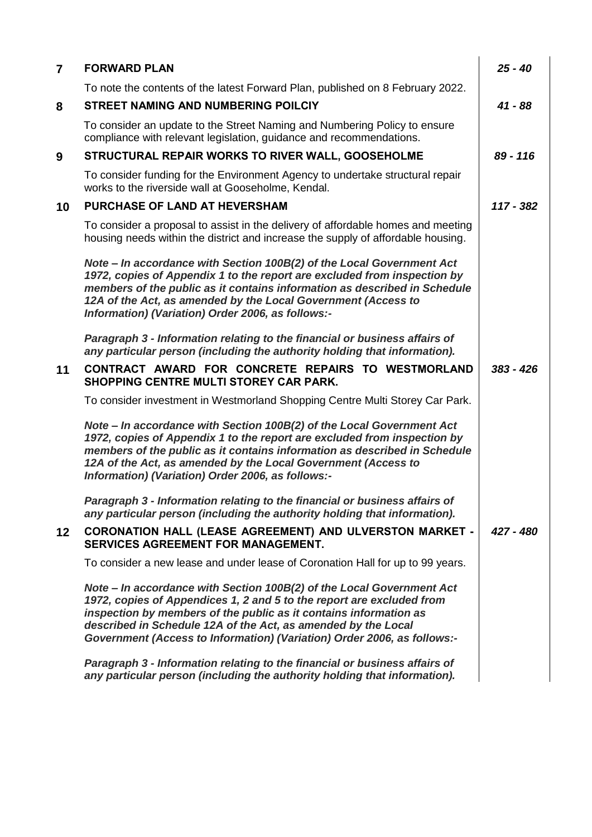| $\overline{7}$  | <b>FORWARD PLAN</b>                                                                                                                                                                                                                                                                                                                                             | $25 - 40$   |
|-----------------|-----------------------------------------------------------------------------------------------------------------------------------------------------------------------------------------------------------------------------------------------------------------------------------------------------------------------------------------------------------------|-------------|
|                 | To note the contents of the latest Forward Plan, published on 8 February 2022.                                                                                                                                                                                                                                                                                  |             |
| 8               | <b>STREET NAMING AND NUMBERING POILCIY</b>                                                                                                                                                                                                                                                                                                                      | $41 - 88$   |
|                 | To consider an update to the Street Naming and Numbering Policy to ensure<br>compliance with relevant legislation, guidance and recommendations.                                                                                                                                                                                                                |             |
| 9               | STRUCTURAL REPAIR WORKS TO RIVER WALL, GOOSEHOLME                                                                                                                                                                                                                                                                                                               | 89 - 116    |
|                 | To consider funding for the Environment Agency to undertake structural repair<br>works to the riverside wall at Gooseholme, Kendal.                                                                                                                                                                                                                             |             |
| 10              | <b>PURCHASE OF LAND AT HEVERSHAM</b>                                                                                                                                                                                                                                                                                                                            |             |
|                 | To consider a proposal to assist in the delivery of affordable homes and meeting<br>housing needs within the district and increase the supply of affordable housing.                                                                                                                                                                                            |             |
|                 | Note - In accordance with Section 100B(2) of the Local Government Act<br>1972, copies of Appendix 1 to the report are excluded from inspection by<br>members of the public as it contains information as described in Schedule<br>12A of the Act, as amended by the Local Government (Access to<br>Information) (Variation) Order 2006, as follows:-            |             |
|                 | Paragraph 3 - Information relating to the financial or business affairs of<br>any particular person (including the authority holding that information).                                                                                                                                                                                                         |             |
| 11              | CONTRACT AWARD FOR CONCRETE REPAIRS TO WESTMORLAND<br><b>SHOPPING CENTRE MULTI STOREY CAR PARK.</b>                                                                                                                                                                                                                                                             | $383 - 426$ |
|                 | To consider investment in Westmorland Shopping Centre Multi Storey Car Park.                                                                                                                                                                                                                                                                                    |             |
|                 | Note - In accordance with Section 100B(2) of the Local Government Act<br>1972, copies of Appendix 1 to the report are excluded from inspection by<br>members of the public as it contains information as described in Schedule<br>12A of the Act, as amended by the Local Government (Access to<br>Information) (Variation) Order 2006, as follows:-            |             |
|                 | Paragraph 3 - Information relating to the financial or business affairs of<br>any particular person (including the authority holding that information).                                                                                                                                                                                                         |             |
| 12 <sup>2</sup> | CORONATION HALL (LEASE AGREEMENT) AND ULVERSTON MARKET -<br><b>SERVICES AGREEMENT FOR MANAGEMENT.</b>                                                                                                                                                                                                                                                           | 427 - 480   |
|                 | To consider a new lease and under lease of Coronation Hall for up to 99 years.                                                                                                                                                                                                                                                                                  |             |
|                 | Note - In accordance with Section 100B(2) of the Local Government Act<br>1972, copies of Appendices 1, 2 and 5 to the report are excluded from<br>inspection by members of the public as it contains information as<br>described in Schedule 12A of the Act, as amended by the Local<br>Government (Access to Information) (Variation) Order 2006, as follows:- |             |
|                 | Paragraph 3 - Information relating to the financial or business affairs of<br>any particular person (including the authority holding that information).                                                                                                                                                                                                         |             |